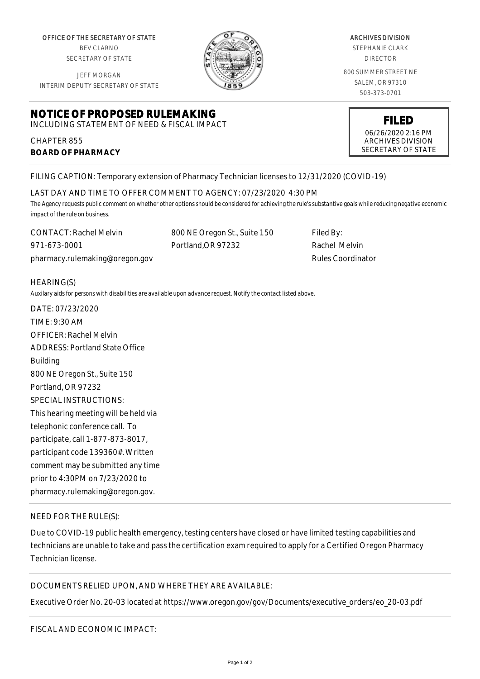OFFICE OF THE SECRETARY OF STATE BEV CLARNO SECRETARY OF STATE

JEFF MORGAN INTERIM DEPUTY SECRETARY OF STATE

# **NOTICE OF PROPOSED RULEMAKING**

INCLUDING STATEMENT OF NEED & FISCAL IMPACT

## CHAPTER 855 **BOARD OF PHARMACY**

FILING CAPTION: Temporary extension of Pharmacy Technician licenses to 12/31/2020 (COVID-19)

#### LAST DAY AND TIME TO OFFER COMMENT TO AGENCY: 07/23/2020 4:30 PM

*The Agency requests public comment on whether other options should be considered for achieving the rule's substantive goals while reducing negative economic impact of the rule on business.*

CONTACT: Rachel Melvin 971-673-0001 pharmacy.rulemaking@oregon.gov 800 NE Oregon St., Suite 150 Portland,OR 97232

HEARING(S)

*Auxilary aids for persons with disabilities are available upon advance request. Notify the contact listed above.*

DATE: 07/23/2020 TIME: 9:30 AM OFFICER: Rachel Melvin ADDRESS: Portland State Office Building 800 NE Oregon St., Suite 150 Portland, OR 97232 SPECIAL INSTRUCTIONS: This hearing meeting will be held via telephonic conference call. To participate, call 1-877-873-8017, participant code 139360#. Written comment may be submitted any time prior to 4:30PM on 7/23/2020 to pharmacy.rulemaking@oregon.gov.

## NEED FOR THE RULE(S):

Due to COVID-19 public health emergency, testing centers have closed or have limited testing capabilities and technicians are unable to take and pass the certification exam required to apply for a Certified Oregon Pharmacy Technician license.

## DOCUMENTS RELIED UPON, AND WHERE THEY ARE AVAILABLE:

Executive Order No. 20-03 located at https://www.oregon.gov/gov/Documents/executive\_orders/eo\_20-03.pdf

Page 1 of 2

ARCHIVES DIVISION STEPHANIE CLARK DIRECTOR

800 SUMMER STREET NE SALEM, OR 97310 503-373-0701

> **FILED** 06/26/2020 2:16 PM ARCHIVES DIVISION SECRETARY OF STATE

Filed By: Rachel Melvin Rules Coordinator